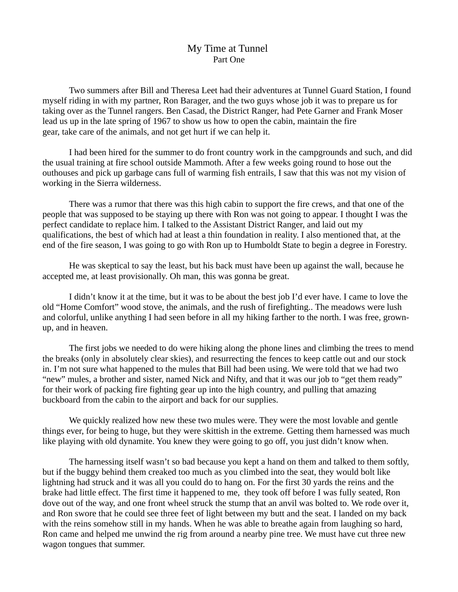## My Time at Tunnel Part One

Two summers after Bill and Theresa Leet had their adventures at Tunnel Guard Station, I found myself riding in with my partner, Ron Barager, and the two guys whose job it was to prepare us for taking over as the Tunnel rangers. Ben Casad, the District Ranger, had Pete Garner and Frank Moser lead us up in the late spring of 1967 to show us how to open the cabin, maintain the fire gear, take care of the animals, and not get hurt if we can help it.

I had been hired for the summer to do front country work in the campgrounds and such, and did the usual training at fire school outside Mammoth. After a few weeks going round to hose out the outhouses and pick up garbage cans full of warming fish entrails, I saw that this was not my vision of working in the Sierra wilderness.

There was a rumor that there was this high cabin to support the fire crews, and that one of the people that was supposed to be staying up there with Ron was not going to appear. I thought I was the perfect candidate to replace him. I talked to the Assistant District Ranger, and laid out my qualifications, the best of which had at least a thin foundation in reality. I also mentioned that, at the end of the fire season, I was going to go with Ron up to Humboldt State to begin a degree in Forestry.

He was skeptical to say the least, but his back must have been up against the wall, because he accepted me, at least provisionally. Oh man, this was gonna be great.

I didn't know it at the time, but it was to be about the best job I'd ever have. I came to love the old "Home Comfort" wood stove, the animals, and the rush of firefighting.. The meadows were lush and colorful, unlike anything I had seen before in all my hiking farther to the north. I was free, grownup, and in heaven.

The first jobs we needed to do were hiking along the phone lines and climbing the trees to mend the breaks (only in absolutely clear skies), and resurrecting the fences to keep cattle out and our stock in. I'm not sure what happened to the mules that Bill had been using. We were told that we had two "new" mules, a brother and sister, named Nick and Nifty, and that it was our job to "get them ready" for their work of packing fire fighting gear up into the high country, and pulling that amazing buckboard from the cabin to the airport and back for our supplies.

We quickly realized how new these two mules were. They were the most lovable and gentle things ever, for being to huge, but they were skittish in the extreme. Getting them harnessed was much like playing with old dynamite. You knew they were going to go off, you just didn't know when.

The harnessing itself wasn't so bad because you kept a hand on them and talked to them softly, but if the buggy behind them creaked too much as you climbed into the seat, they would bolt like lightning had struck and it was all you could do to hang on. For the first 30 yards the reins and the brake had little effect. The first time it happened to me, they took off before I was fully seated, Ron dove out of the way, and one front wheel struck the stump that an anvil was bolted to. We rode over it, and Ron swore that he could see three feet of light between my butt and the seat. I landed on my back with the reins somehow still in my hands. When he was able to breathe again from laughing so hard, Ron came and helped me unwind the rig from around a nearby pine tree. We must have cut three new wagon tongues that summer.